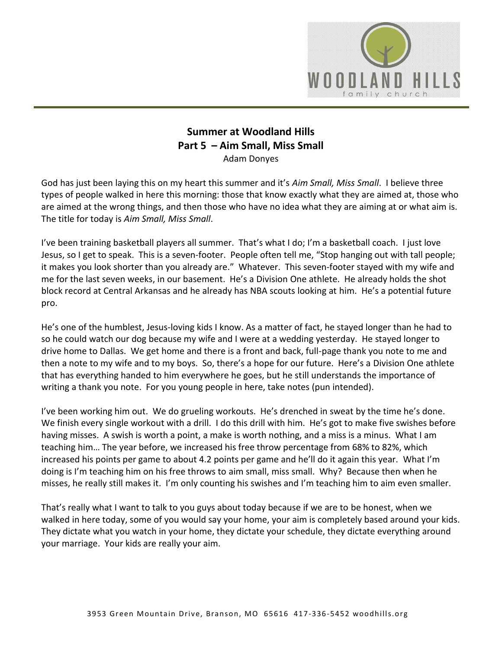

## **Summer at Woodland Hills Part 5 – Aim Small, Miss Small**  Adam Donyes

God has just been laying this on my heart this summer and it's *Aim Small, Miss Small*. I believe three types of people walked in here this morning: those that know exactly what they are aimed at, those who are aimed at the wrong things, and then those who have no idea what they are aiming at or what aim is. The title for today is *Aim Small, Miss Small*.

I've been training basketball players all summer. That's what I do; I'm a basketball coach. I just love Jesus, so I get to speak. This is a seven-footer. People often tell me, "Stop hanging out with tall people; it makes you look shorter than you already are." Whatever. This seven-footer stayed with my wife and me for the last seven weeks, in our basement. He's a Division One athlete. He already holds the shot block record at Central Arkansas and he already has NBA scouts looking at him. He's a potential future pro.

He's one of the humblest, Jesus-loving kids I know. As a matter of fact, he stayed longer than he had to so he could watch our dog because my wife and I were at a wedding yesterday. He stayed longer to drive home to Dallas. We get home and there is a front and back, full-page thank you note to me and then a note to my wife and to my boys. So, there's a hope for our future. Here's a Division One athlete that has everything handed to him everywhere he goes, but he still understands the importance of writing a thank you note. For you young people in here, take notes (pun intended).

I've been working him out. We do grueling workouts. He's drenched in sweat by the time he's done. We finish every single workout with a drill. I do this drill with him. He's got to make five swishes before having misses. A swish is worth a point, a make is worth nothing, and a miss is a minus. What I am teaching him… The year before, we increased his free throw percentage from 68% to 82%, which increased his points per game to about 4.2 points per game and he'll do it again this year. What I'm doing is I'm teaching him on his free throws to aim small, miss small. Why? Because then when he misses, he really still makes it. I'm only counting his swishes and I'm teaching him to aim even smaller.

That's really what I want to talk to you guys about today because if we are to be honest, when we walked in here today, some of you would say your home, your aim is completely based around your kids. They dictate what you watch in your home, they dictate your schedule, they dictate everything around your marriage. Your kids are really your aim.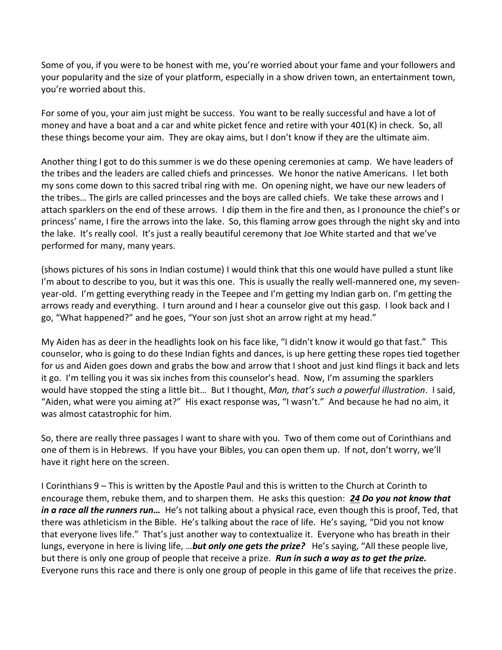Some of you, if you were to be honest with me, you're worried about your fame and your followers and your popularity and the size of your platform, especially in a show driven town, an entertainment town, you're worried about this.

For some of you, your aim just might be success. You want to be really successful and have a lot of money and have a boat and a car and white picket fence and retire with your 401(K) in check. So, all these things become your aim. They are okay aims, but I don't know if they are the ultimate aim.

Another thing I got to do this summer is we do these opening ceremonies at camp. We have leaders of the tribes and the leaders are called chiefs and princesses. We honor the native Americans. I let both my sons come down to this sacred tribal ring with me. On opening night, we have our new leaders of the tribes… The girls are called princesses and the boys are called chiefs. We take these arrows and I attach sparklers on the end of these arrows. I dip them in the fire and then, as I pronounce the chief's or princess' name, I fire the arrows into the lake. So, this flaming arrow goes through the night sky and into the lake. It's really cool. It's just a really beautiful ceremony that Joe White started and that we've performed for many, many years.

(shows pictures of his sons in Indian costume) I would think that this one would have pulled a stunt like I'm about to describe to you, but it was this one. This is usually the really well-mannered one, my sevenyear-old. I'm getting everything ready in the Teepee and I'm getting my Indian garb on. I'm getting the arrows ready and everything. I turn around and I hear a counselor give out this gasp. I look back and I go, "What happened?" and he goes, "Your son just shot an arrow right at my head."

My Aiden has as deer in the headlights look on his face like, "I didn't know it would go that fast." This counselor, who is going to do these Indian fights and dances, is up here getting these ropes tied together for us and Aiden goes down and grabs the bow and arrow that I shoot and just kind flings it back and lets it go. I'm telling you it was six inches from this counselor's head. Now, I'm assuming the sparklers would have stopped the sting a little bit… But I thought, *Man, that's such a powerful illustration*. I said, "Aiden, what were you aiming at?" His exact response was, "I wasn't." And because he had no aim, it was almost catastrophic for him.

So, there are really three passages I want to share with you. Two of them come out of Corinthians and one of them is in Hebrews. If you have your Bibles, you can open them up. If not, don't worry, we'll have it right here on the screen.

I Corinthians 9 – This is written by the Apostle Paul and this is written to the Church at Corinth to encourage them, rebuke them, and to sharpen them. He asks this question: *[24](https://www.studylight.org/desk/?q=1co%209:24&t1=en_niv&sr=1) Do you not know that in a race all the runners run…* He's not talking about a physical race, even though this is proof, Ted, that there was athleticism in the Bible. He's talking about the race of life. He's saying, "Did you not know that everyone lives life." That's just another way to contextualize it. Everyone who has breath in their lungs, everyone in here is living life, …*but only one gets the prize?* He's saying, "All these people live, but there is only one group of people that receive a prize. *Run in such a way as to get the prize.* Everyone runs this race and there is only one group of people in this game of life that receives the prize.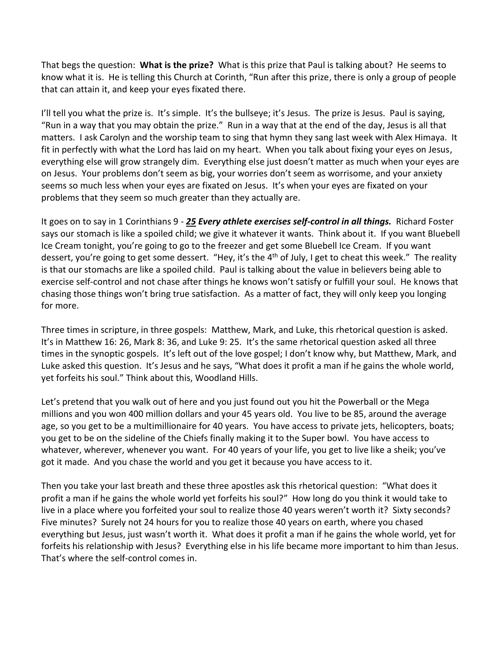That begs the question: **What is the prize?** What is this prize that Paul is talking about? He seems to know what it is. He is telling this Church at Corinth, "Run after this prize, there is only a group of people that can attain it, and keep your eyes fixated there.

I'll tell you what the prize is. It's simple. It's the bullseye; it's Jesus. The prize is Jesus. Paul is saying, "Run in a way that you may obtain the prize." Run in a way that at the end of the day, Jesus is all that matters. I ask Carolyn and the worship team to sing that hymn they sang last week with Alex Himaya. It fit in perfectly with what the Lord has laid on my heart. When you talk about fixing your eyes on Jesus, everything else will grow strangely dim. Everything else just doesn't matter as much when your eyes are on Jesus. Your problems don't seem as big, your worries don't seem as worrisome, and your anxiety seems so much less when your eyes are fixated on Jesus. It's when your eyes are fixated on your problems that they seem so much greater than they actually are.

It goes on to say in 1 Corinthians 9 - *[25](https://www.studylight.org/desk/?q=1co%209:25&t1=en_esv&sr=1) Every athlete exercises self-control in all things.* Richard Foster says our stomach is like a spoiled child; we give it whatever it wants. Think about it. If you want Bluebell Ice Cream tonight, you're going to go to the freezer and get some Bluebell Ice Cream. If you want dessert, you're going to get some dessert. "Hey, it's the 4<sup>th</sup> of July, I get to cheat this week." The reality is that our stomachs are like a spoiled child. Paul is talking about the value in believers being able to exercise self-control and not chase after things he knows won't satisfy or fulfill your soul. He knows that chasing those things won't bring true satisfaction. As a matter of fact, they will only keep you longing for more.

Three times in scripture, in three gospels: Matthew, Mark, and Luke, this rhetorical question is asked. It's in Matthew 16: 26, Mark 8: 36, and Luke 9: 25. It's the same rhetorical question asked all three times in the synoptic gospels. It's left out of the love gospel; I don't know why, but Matthew, Mark, and Luke asked this question. It's Jesus and he says, "What does it profit a man if he gains the whole world, yet forfeits his soul." Think about this, Woodland Hills.

Let's pretend that you walk out of here and you just found out you hit the Powerball or the Mega millions and you won 400 million dollars and your 45 years old. You live to be 85, around the average age, so you get to be a multimillionaire for 40 years. You have access to private jets, helicopters, boats; you get to be on the sideline of the Chiefs finally making it to the Super bowl. You have access to whatever, wherever, whenever you want. For 40 years of your life, you get to live like a sheik; you've got it made. And you chase the world and you get it because you have access to it.

Then you take your last breath and these three apostles ask this rhetorical question: "What does it profit a man if he gains the whole world yet forfeits his soul?" How long do you think it would take to live in a place where you forfeited your soul to realize those 40 years weren't worth it? Sixty seconds? Five minutes? Surely not 24 hours for you to realize those 40 years on earth, where you chased everything but Jesus, just wasn't worth it. What does it profit a man if he gains the whole world, yet for forfeits his relationship with Jesus? Everything else in his life became more important to him than Jesus. That's where the self-control comes in.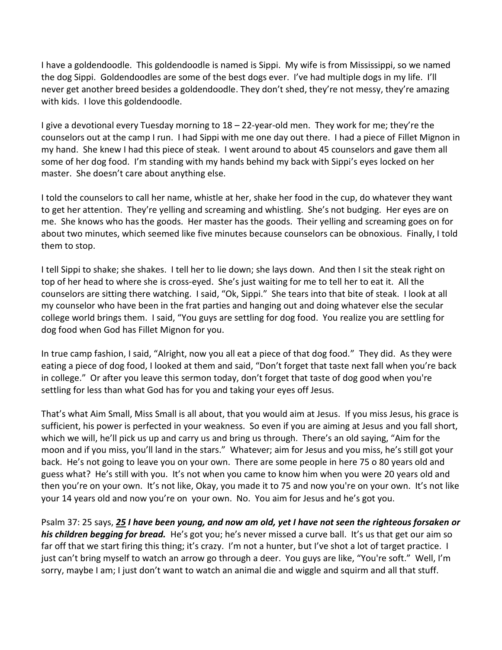I have a goldendoodle. This goldendoodle is named is Sippi. My wife is from Mississippi, so we named the dog Sippi. Goldendoodles are some of the best dogs ever. I've had multiple dogs in my life. I'll never get another breed besides a goldendoodle. They don't shed, they're not messy, they're amazing with kids. I love this goldendoodle.

I give a devotional every Tuesday morning to 18 – 22-year-old men. They work for me; they're the counselors out at the camp I run. I had Sippi with me one day out there. I had a piece of Fillet Mignon in my hand. She knew I had this piece of steak. I went around to about 45 counselors and gave them all some of her dog food. I'm standing with my hands behind my back with Sippi's eyes locked on her master. She doesn't care about anything else.

I told the counselors to call her name, whistle at her, shake her food in the cup, do whatever they want to get her attention. They're yelling and screaming and whistling. She's not budging. Her eyes are on me. She knows who has the goods. Her master has the goods. Their yelling and screaming goes on for about two minutes, which seemed like five minutes because counselors can be obnoxious. Finally, I told them to stop.

I tell Sippi to shake; she shakes. I tell her to lie down; she lays down. And then I sit the steak right on top of her head to where she is cross-eyed. She's just waiting for me to tell her to eat it. All the counselors are sitting there watching. I said, "Ok, Sippi." She tears into that bite of steak. I look at all my counselor who have been in the frat parties and hanging out and doing whatever else the secular college world brings them. I said, "You guys are settling for dog food. You realize you are settling for dog food when God has Fillet Mignon for you.

In true camp fashion, I said, "Alright, now you all eat a piece of that dog food." They did. As they were eating a piece of dog food, I looked at them and said, "Don't forget that taste next fall when you're back in college." Or after you leave this sermon today, don't forget that taste of dog good when you're settling for less than what God has for you and taking your eyes off Jesus.

That's what Aim Small, Miss Small is all about, that you would aim at Jesus. If you miss Jesus, his grace is sufficient, his power is perfected in your weakness. So even if you are aiming at Jesus and you fall short, which we will, he'll pick us up and carry us and bring us through. There's an old saying, "Aim for the moon and if you miss, you'll land in the stars." Whatever; aim for Jesus and you miss, he's still got your back. He's not going to leave you on your own. There are some people in here 75 o 80 years old and guess what? He's still with you. It's not when you came to know him when you were 20 years old and then you're on your own. It's not like, Okay, you made it to 75 and now you're on your own. It's not like your 14 years old and now you're on your own. No. You aim for Jesus and he's got you.

Psalm 37: 25 says, *[25](https://www.studylight.org/desk/?q=ps%2037:25&t1=en_esv&sr=1) I have been young, and now am old, yet I have not seen the righteous forsaken or his children begging for bread.* He's got you; he's never missed a curve ball. It's us that get our aim so far off that we start firing this thing; it's crazy. I'm not a hunter, but I've shot a lot of target practice. I just can't bring myself to watch an arrow go through a deer. You guys are like, "You're soft." Well, I'm sorry, maybe I am; I just don't want to watch an animal die and wiggle and squirm and all that stuff.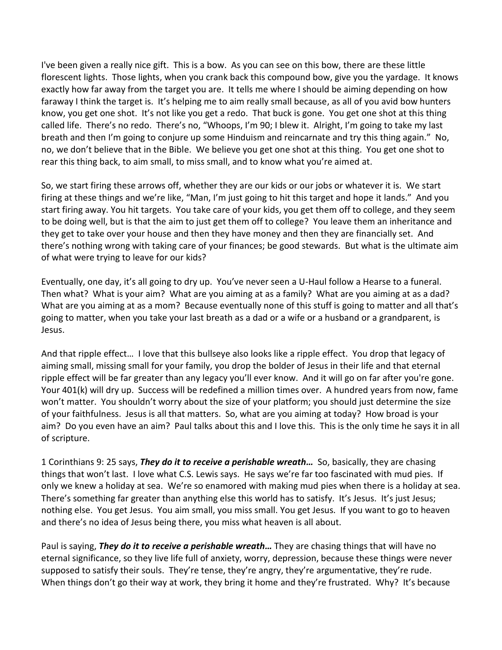I've been given a really nice gift. This is a bow. As you can see on this bow, there are these little florescent lights. Those lights, when you crank back this compound bow, give you the yardage. It knows exactly how far away from the target you are. It tells me where I should be aiming depending on how faraway I think the target is. It's helping me to aim really small because, as all of you avid bow hunters know, you get one shot. It's not like you get a redo. That buck is gone. You get one shot at this thing called life. There's no redo. There's no, "Whoops, I'm 90; I blew it. Alright, I'm going to take my last breath and then I'm going to conjure up some Hinduism and reincarnate and try this thing again." No, no, we don't believe that in the Bible. We believe you get one shot at this thing. You get one shot to rear this thing back, to aim small, to miss small, and to know what you're aimed at.

So, we start firing these arrows off, whether they are our kids or our jobs or whatever it is. We start firing at these things and we're like, "Man, I'm just going to hit this target and hope it lands." And you start firing away. You hit targets. You take care of your kids, you get them off to college, and they seem to be doing well, but is that the aim to just get them off to college? You leave them an inheritance and they get to take over your house and then they have money and then they are financially set. And there's nothing wrong with taking care of your finances; be good stewards. But what is the ultimate aim of what were trying to leave for our kids?

Eventually, one day, it's all going to dry up. You've never seen a U-Haul follow a Hearse to a funeral. Then what? What is your aim? What are you aiming at as a family? What are you aiming at as a dad? What are you aiming at as a mom? Because eventually none of this stuff is going to matter and all that's going to matter, when you take your last breath as a dad or a wife or a husband or a grandparent, is Jesus.

And that ripple effect… I love that this bullseye also looks like a ripple effect. You drop that legacy of aiming small, missing small for your family, you drop the bolder of Jesus in their life and that eternal ripple effect will be far greater than any legacy you'll ever know. And it will go on far after you're gone. Your 401(k) will dry up. Success will be redefined a million times over. A hundred years from now, fame won't matter. You shouldn't worry about the size of your platform; you should just determine the size of your faithfulness. Jesus is all that matters. So, what are you aiming at today? How broad is your aim? Do you even have an aim? Paul talks about this and I love this. This is the only time he says it in all of scripture.

1 Corinthians 9: 25 says, *They do it to receive a perishable wreath…* So, basically, they are chasing things that won't last. I love what C.S. Lewis says. He says we're far too fascinated with mud pies. If only we knew a holiday at sea. We're so enamored with making mud pies when there is a holiday at sea. There's something far greater than anything else this world has to satisfy. It's Jesus. It's just Jesus; nothing else. You get Jesus. You aim small, you miss small. You get Jesus. If you want to go to heaven and there's no idea of Jesus being there, you miss what heaven is all about.

Paul is saying, *They do it to receive a perishable wreath…* They are chasing things that will have no eternal significance, so they live life full of anxiety, worry, depression, because these things were never supposed to satisfy their souls. They're tense, they're angry, they're argumentative, they're rude. When things don't go their way at work, they bring it home and they're frustrated. Why? It's because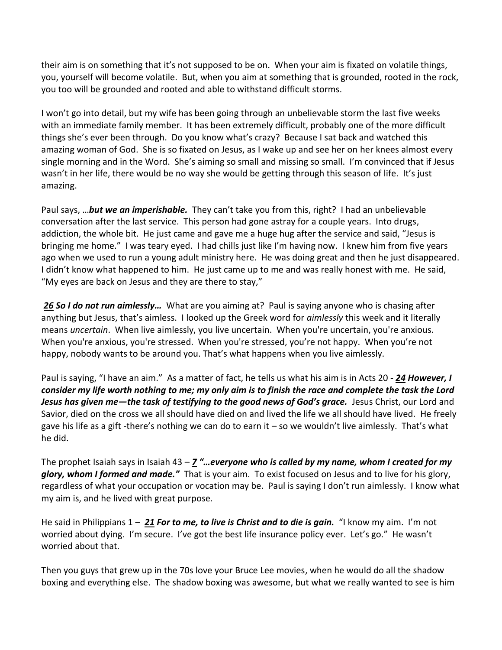their aim is on something that it's not supposed to be on. When your aim is fixated on volatile things, you, yourself will become volatile. But, when you aim at something that is grounded, rooted in the rock, you too will be grounded and rooted and able to withstand difficult storms.

I won't go into detail, but my wife has been going through an unbelievable storm the last five weeks with an immediate family member. It has been extremely difficult, probably one of the more difficult things she's ever been through. Do you know what's crazy? Because I sat back and watched this amazing woman of God. She is so fixated on Jesus, as I wake up and see her on her knees almost every single morning and in the Word. She's aiming so small and missing so small. I'm convinced that if Jesus wasn't in her life, there would be no way she would be getting through this season of life. It's just amazing.

Paul says, …*but we an imperishable.* They can't take you from this, right? I had an unbelievable conversation after the last service. This person had gone astray for a couple years. Into drugs, addiction, the whole bit. He just came and gave me a huge hug after the service and said, "Jesus is bringing me home." I was teary eyed. I had chills just like I'm having now. I knew him from five years ago when we used to run a young adult ministry here. He was doing great and then he just disappeared. I didn't know what happened to him. He just came up to me and was really honest with me. He said, "My eyes are back on Jesus and they are there to stay,"

*[26](https://www.studylight.org/desk/?q=1co%209:26&t1=en_esv&sr=1) So I do not run aimlessly…* What are you aiming at? Paul is saying anyone who is chasing after anything but Jesus, that's aimless. I looked up the Greek word for *aimlessly* this week and it literally means *uncertain*. When live aimlessly, you live uncertain. When you're uncertain, you're anxious. When you're anxious, you're stressed. When you're stressed, you're not happy. When you're not happy, nobody wants to be around you. That's what happens when you live aimlessly.

Paul is saying, "I have an aim." As a matter of fact, he tells us what his aim is in Acts 20 - *[24](https://www.studylight.org/desk/?q=ac%2020:24&t1=en_niv&sr=1) However, I consider my life worth nothing to me; my only aim is to finish the race and complete the task the Lord Jesus has given me—the task of testifying to the good news of God's grace.* Jesus Christ, our Lord and Savior, died on the cross we all should have died on and lived the life we all should have lived. He freely gave his life as a gift -there's nothing we can do to earn it – so we wouldn't live aimlessly. That's what he did.

The prophet Isaiah says in Isaiah 43 – *[7](https://www.studylight.org/desk/?q=isa%2043:7&t1=en_niv&sr=1) "…everyone who is called by my name, whom I created for my glory, whom I formed and made."* That is your aim. To exist focused on Jesus and to live for his glory, regardless of what your occupation or vocation may be. Paul is saying I don't run aimlessly. I know what my aim is, and he lived with great purpose.

He said in Philippians 1 – *[21](https://www.studylight.org/desk/?q=php%201:21&t1=en_niv&sr=1) For to me, to live is Christ and to die is gain.* "I know my aim. I'm not worried about dying. I'm secure. I've got the best life insurance policy ever. Let's go." He wasn't worried about that.

Then you guys that grew up in the 70s love your Bruce Lee movies, when he would do all the shadow boxing and everything else. The shadow boxing was awesome, but what we really wanted to see is him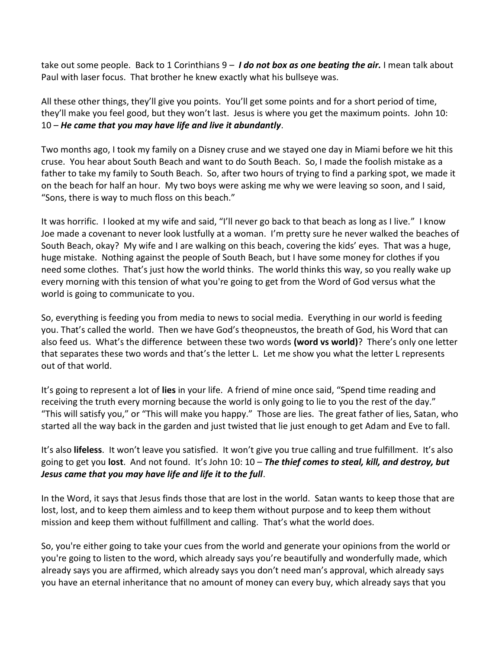take out some people. Back to 1 Corinthians 9 – *I do not box as one beating the air.* I mean talk about Paul with laser focus. That brother he knew exactly what his bullseye was.

All these other things, they'll give you points. You'll get some points and for a short period of time, they'll make you feel good, but they won't last. Jesus is where you get the maximum points. John 10: 10 – *He came that you may have life and live it abundantly*.

Two months ago, I took my family on a Disney cruse and we stayed one day in Miami before we hit this cruse. You hear about South Beach and want to do South Beach. So, I made the foolish mistake as a father to take my family to South Beach. So, after two hours of trying to find a parking spot, we made it on the beach for half an hour. My two boys were asking me why we were leaving so soon, and I said, "Sons, there is way to much floss on this beach."

It was horrific. I looked at my wife and said, "I'll never go back to that beach as long as I live." I know Joe made a covenant to never look lustfully at a woman. I'm pretty sure he never walked the beaches of South Beach, okay? My wife and I are walking on this beach, covering the kids' eyes. That was a huge, huge mistake. Nothing against the people of South Beach, but I have some money for clothes if you need some clothes. That's just how the world thinks. The world thinks this way, so you really wake up every morning with this tension of what you're going to get from the Word of God versus what the world is going to communicate to you.

So, everything is feeding you from media to news to social media. Everything in our world is feeding you. That's called the world. Then we have God's theopneustos, the breath of God, his Word that can also feed us. What's the difference between these two words **(word vs world)**? There's only one letter that separates these two words and that's the letter L. Let me show you what the letter L represents out of that world.

It's going to represent a lot of **lies** in your life. A friend of mine once said, "Spend time reading and receiving the truth every morning because the world is only going to lie to you the rest of the day." "This will satisfy you," or "This will make you happy." Those are lies. The great father of lies, Satan, who started all the way back in the garden and just twisted that lie just enough to get Adam and Eve to fall.

It's also **lifeless**. It won't leave you satisfied. It won't give you true calling and true fulfillment. It's also going to get you **lost**. And not found. It's John 10: 10 – *The thief comes to steal, kill, and destroy, but Jesus came that you may have life and life it to the full*.

In the Word, it says that Jesus finds those that are lost in the world. Satan wants to keep those that are lost, lost, and to keep them aimless and to keep them without purpose and to keep them without mission and keep them without fulfillment and calling. That's what the world does.

So, you're either going to take your cues from the world and generate your opinions from the world or you're going to listen to the word, which already says you're beautifully and wonderfully made, which already says you are affirmed, which already says you don't need man's approval, which already says you have an eternal inheritance that no amount of money can every buy, which already says that you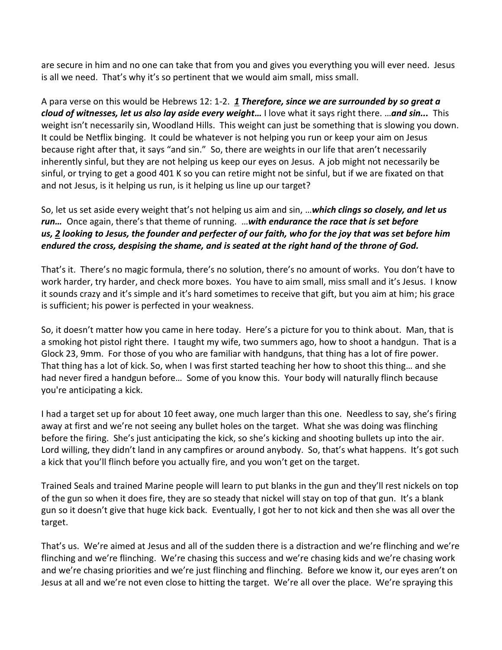are secure in him and no one can take that from you and gives you everything you will ever need. Jesus is all we need. That's why it's so pertinent that we would aim small, miss small.

A para verse on this would be Hebrews 12: 1-2. *[1](https://www.studylight.org/desk/?q=heb%2012:1&t1=en_esv&sr=1) Therefore, since we are surrounded by so great a cloud of witnesses, let us also lay aside every weight…* I love what it says right there. …*and sin...* This weight isn't necessarily sin, Woodland Hills. This weight can just be something that is slowing you down. It could be Netflix binging. It could be whatever is not helping you run or keep your aim on Jesus because right after that, it says "and sin." So, there are weights in our life that aren't necessarily inherently sinful, but they are not helping us keep our eyes on Jesus. A job might not necessarily be sinful, or trying to get a good 401 K so you can retire might not be sinful, but if we are fixated on that and not Jesus, is it helping us run, is it helping us line up our target?

So, let us set aside every weight that's not helping us aim and sin, …*which clings so closely, and let us run…* Once again, there's that theme of running. …*with endurance the race that is set before us, [2](https://www.studylight.org/desk/?q=heb%2012:2&t1=en_esv&sr=1) looking to Jesus, the founder and perfecter of our faith, who for the joy that was set before him endured the cross, despising the shame, and is seated at the right hand of the throne of God.* 

That's it. There's no magic formula, there's no solution, there's no amount of works. You don't have to work harder, try harder, and check more boxes. You have to aim small, miss small and it's Jesus. I know it sounds crazy and it's simple and it's hard sometimes to receive that gift, but you aim at him; his grace is sufficient; his power is perfected in your weakness.

So, it doesn't matter how you came in here today. Here's a picture for you to think about. Man, that is a smoking hot pistol right there. I taught my wife, two summers ago, how to shoot a handgun. That is a Glock 23, 9mm. For those of you who are familiar with handguns, that thing has a lot of fire power. That thing has a lot of kick. So, when I was first started teaching her how to shoot this thing… and she had never fired a handgun before… Some of you know this. Your body will naturally flinch because you're anticipating a kick.

I had a target set up for about 10 feet away, one much larger than this one. Needless to say, she's firing away at first and we're not seeing any bullet holes on the target. What she was doing was flinching before the firing. She's just anticipating the kick, so she's kicking and shooting bullets up into the air. Lord willing, they didn't land in any campfires or around anybody. So, that's what happens. It's got such a kick that you'll flinch before you actually fire, and you won't get on the target.

Trained Seals and trained Marine people will learn to put blanks in the gun and they'll rest nickels on top of the gun so when it does fire, they are so steady that nickel will stay on top of that gun. It's a blank gun so it doesn't give that huge kick back. Eventually, I got her to not kick and then she was all over the target.

That's us. We're aimed at Jesus and all of the sudden there is a distraction and we're flinching and we're flinching and we're flinching. We're chasing this success and we're chasing kids and we're chasing work and we're chasing priorities and we're just flinching and flinching. Before we know it, our eyes aren't on Jesus at all and we're not even close to hitting the target. We're all over the place. We're spraying this